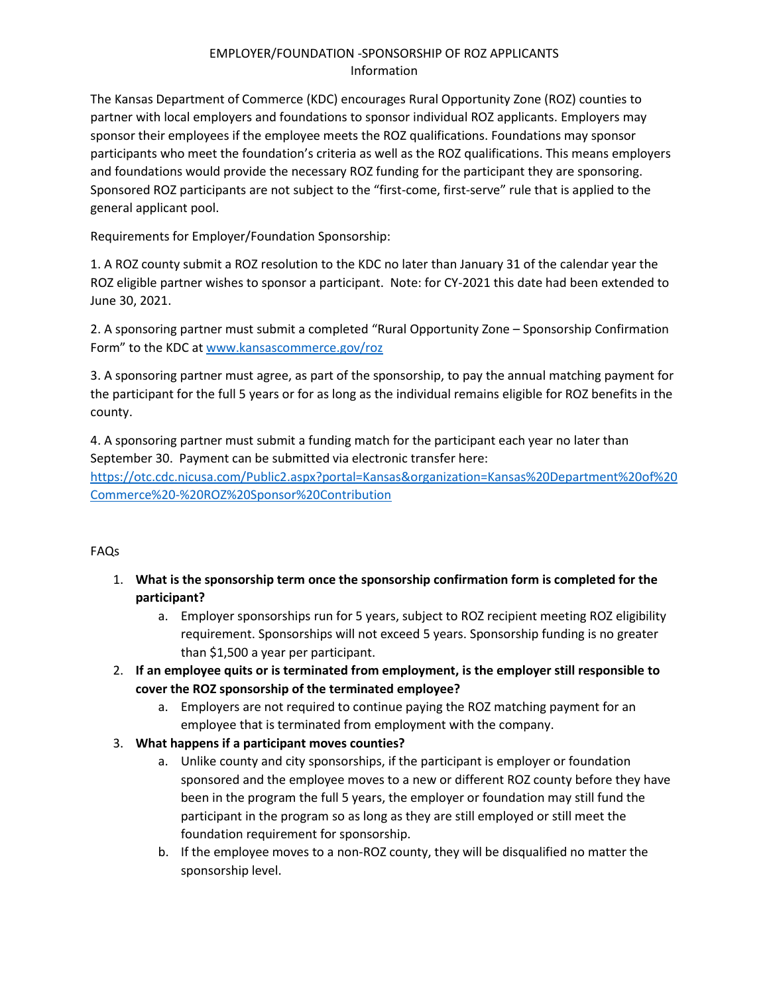## EMPLOYER/FOUNDATION -SPONSORSHIP OF ROZ APPLICANTS Information

The Kansas Department of Commerce (KDC) encourages Rural Opportunity Zone (ROZ) counties to partner with local employers and foundations to sponsor individual ROZ applicants. Employers may sponsor their employees if the employee meets the ROZ qualifications. Foundations may sponsor participants who meet the foundation's criteria as well as the ROZ qualifications. This means employers and foundations would provide the necessary ROZ funding for the participant they are sponsoring. Sponsored ROZ participants are not subject to the "first-come, first-serve" rule that is applied to the general applicant pool.

Requirements for Employer/Foundation Sponsorship:

1. A ROZ county submit a ROZ resolution to the KDC no later than January 31 of the calendar year the ROZ eligible partner wishes to sponsor a participant. Note: for CY-2021 this date had been extended to June 30, 2021.

2. A sponsoring partner must submit a completed "Rural Opportunity Zone – Sponsorship Confirmation Form" to the KDC at [www.kansascommerce.gov/roz](http://www.kansascommerce.gov/roz)

3. A sponsoring partner must agree, as part of the sponsorship, to pay the annual matching payment for the participant for the full 5 years or for as long as the individual remains eligible for ROZ benefits in the county.

4. A sponsoring partner must submit a funding match for the participant each year no later than September 30. Payment can be submitted via electronic transfer here: [https://otc.cdc.nicusa.com/Public2.aspx?portal=Kansas&organization=Kansas%20Department%20of%20](https://otc.cdc.nicusa.com/Public2.aspx?portal=Kansas&organization=Kansas%20Department%20of%20Commerce%20-%20ROZ%20Sponsor%20Contribution) [Commerce%20-%20ROZ%20Sponsor%20Contribution](https://otc.cdc.nicusa.com/Public2.aspx?portal=Kansas&organization=Kansas%20Department%20of%20Commerce%20-%20ROZ%20Sponsor%20Contribution)

## FAQs

- 1. **What is the sponsorship term once the sponsorship confirmation form is completed for the participant?** 
	- a. Employer sponsorships run for 5 years, subject to ROZ recipient meeting ROZ eligibility requirement. Sponsorships will not exceed 5 years. Sponsorship funding is no greater than \$1,500 a year per participant.
- 2. **If an employee quits or is terminated from employment, is the employer still responsible to cover the ROZ sponsorship of the terminated employee?**
	- a. Employers are not required to continue paying the ROZ matching payment for an employee that is terminated from employment with the company.
- 3. **What happens if a participant moves counties?**
	- a. Unlike county and city sponsorships, if the participant is employer or foundation sponsored and the employee moves to a new or different ROZ county before they have been in the program the full 5 years, the employer or foundation may still fund the participant in the program so as long as they are still employed or still meet the foundation requirement for sponsorship.
	- b. If the employee moves to a non-ROZ county, they will be disqualified no matter the sponsorship level.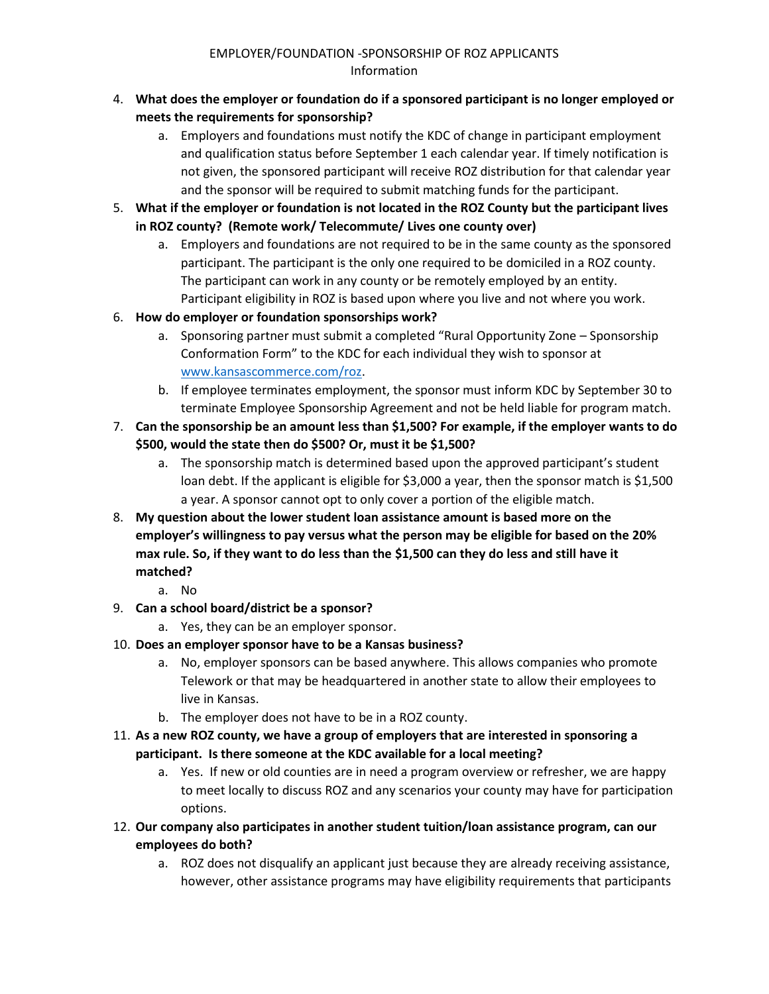- 4. **What does the employer or foundation do if a sponsored participant is no longer employed or meets the requirements for sponsorship?**
	- a. Employers and foundations must notify the KDC of change in participant employment and qualification status before September 1 each calendar year. If timely notification is not given, the sponsored participant will receive ROZ distribution for that calendar year and the sponsor will be required to submit matching funds for the participant.
- 5. **What if the employer or foundation is not located in the ROZ County but the participant lives in ROZ county? (Remote work/ Telecommute/ Lives one county over)**
	- a. Employers and foundations are not required to be in the same county as the sponsored participant. The participant is the only one required to be domiciled in a ROZ county. The participant can work in any county or be remotely employed by an entity. Participant eligibility in ROZ is based upon where you live and not where you work.
- 6. **How do employer or foundation sponsorships work?**
	- a. Sponsoring partner must submit a completed "Rural Opportunity Zone Sponsorship Conformation Form" to the KDC for each individual they wish to sponsor at [www.kansascommerce.com/roz.](http://www.kansascommerce.com/roz)
	- b. If employee terminates employment, the sponsor must inform KDC by September 30 to terminate Employee Sponsorship Agreement and not be held liable for program match.
- 7. **Can the sponsorship be an amount less than \$1,500? For example, if the employer wants to do \$500, would the state then do \$500? Or, must it be \$1,500?**
	- a. The sponsorship match is determined based upon the approved participant's student loan debt. If the applicant is eligible for \$3,000 a year, then the sponsor match is \$1,500 a year. A sponsor cannot opt to only cover a portion of the eligible match.
- 8. **My question about the lower student loan assistance amount is based more on the employer's willingness to pay versus what the person may be eligible for based on the 20% max rule. So, if they want to do less than the \$1,500 can they do less and still have it matched?**
	- a. No
- 9. **Can a school board/district be a sponsor?**
	- a. Yes, they can be an employer sponsor.
- 10. **Does an employer sponsor have to be a Kansas business?**
	- a. No, employer sponsors can be based anywhere. This allows companies who promote Telework or that may be headquartered in another state to allow their employees to live in Kansas.
	- b. The employer does not have to be in a ROZ county.
- 11. **As a new ROZ county, we have a group of employers that are interested in sponsoring a participant. Is there someone at the KDC available for a local meeting?**
	- a. Yes. If new or old counties are in need a program overview or refresher, we are happy to meet locally to discuss ROZ and any scenarios your county may have for participation options.
- 12. **Our company also participates in another student tuition/loan assistance program, can our employees do both?**
	- a. ROZ does not disqualify an applicant just because they are already receiving assistance, however, other assistance programs may have eligibility requirements that participants